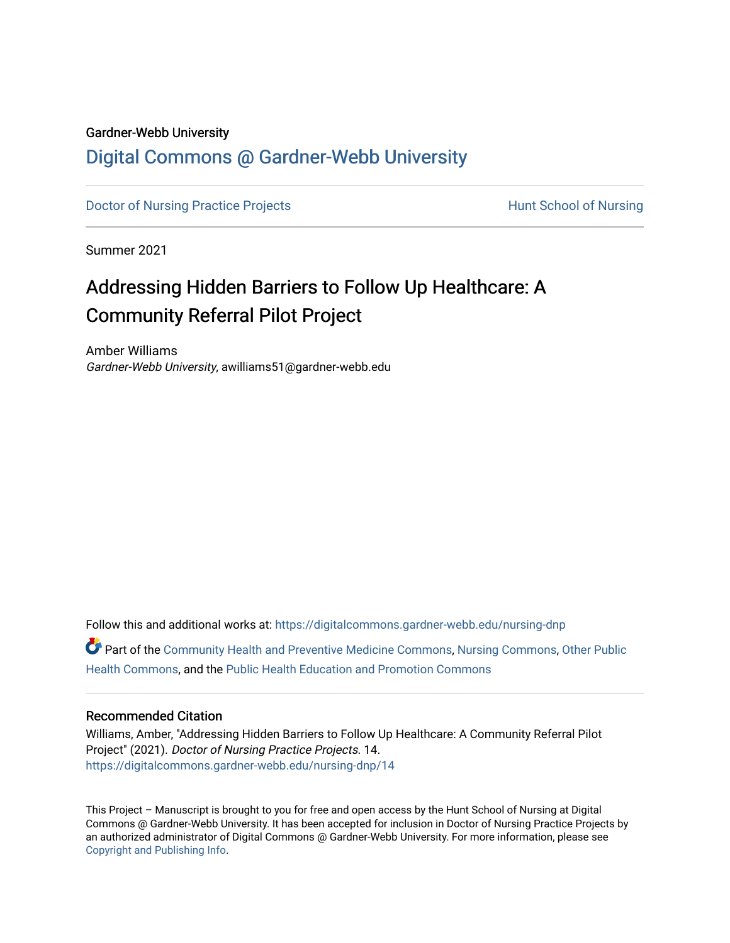#### Gardner-Webb University

# [Digital Commons @ Gardner-Webb University](https://digitalcommons.gardner-webb.edu/)

[Doctor of Nursing Practice Projects](https://digitalcommons.gardner-webb.edu/nursing-dnp) **Exercise Exercise Serverse Hunt School of Nursing** 

Summer 2021

# Addressing Hidden Barriers to Follow Up Healthcare: A Community Referral Pilot Project

Amber Williams Gardner-Webb University, awilliams51@gardner-webb.edu

Follow this and additional works at: [https://digitalcommons.gardner-webb.edu/nursing-dnp](https://digitalcommons.gardner-webb.edu/nursing-dnp?utm_source=digitalcommons.gardner-webb.edu%2Fnursing-dnp%2F14&utm_medium=PDF&utm_campaign=PDFCoverPages) 

Part of the [Community Health and Preventive Medicine Commons](http://network.bepress.com/hgg/discipline/744?utm_source=digitalcommons.gardner-webb.edu%2Fnursing-dnp%2F14&utm_medium=PDF&utm_campaign=PDFCoverPages), [Nursing Commons](http://network.bepress.com/hgg/discipline/718?utm_source=digitalcommons.gardner-webb.edu%2Fnursing-dnp%2F14&utm_medium=PDF&utm_campaign=PDFCoverPages), [Other Public](http://network.bepress.com/hgg/discipline/748?utm_source=digitalcommons.gardner-webb.edu%2Fnursing-dnp%2F14&utm_medium=PDF&utm_campaign=PDFCoverPages)  [Health Commons,](http://network.bepress.com/hgg/discipline/748?utm_source=digitalcommons.gardner-webb.edu%2Fnursing-dnp%2F14&utm_medium=PDF&utm_campaign=PDFCoverPages) and the [Public Health Education and Promotion Commons](http://network.bepress.com/hgg/discipline/743?utm_source=digitalcommons.gardner-webb.edu%2Fnursing-dnp%2F14&utm_medium=PDF&utm_campaign=PDFCoverPages)

## Recommended Citation

Williams, Amber, "Addressing Hidden Barriers to Follow Up Healthcare: A Community Referral Pilot Project" (2021). Doctor of Nursing Practice Projects. 14. [https://digitalcommons.gardner-webb.edu/nursing-dnp/14](https://digitalcommons.gardner-webb.edu/nursing-dnp/14?utm_source=digitalcommons.gardner-webb.edu%2Fnursing-dnp%2F14&utm_medium=PDF&utm_campaign=PDFCoverPages)

This Project – Manuscript is brought to you for free and open access by the Hunt School of Nursing at Digital Commons @ Gardner-Webb University. It has been accepted for inclusion in Doctor of Nursing Practice Projects by an authorized administrator of Digital Commons @ Gardner-Webb University. For more information, please see [Copyright and Publishing Info.](https://digitalcommons.gardner-webb.edu/copyright_publishing.html)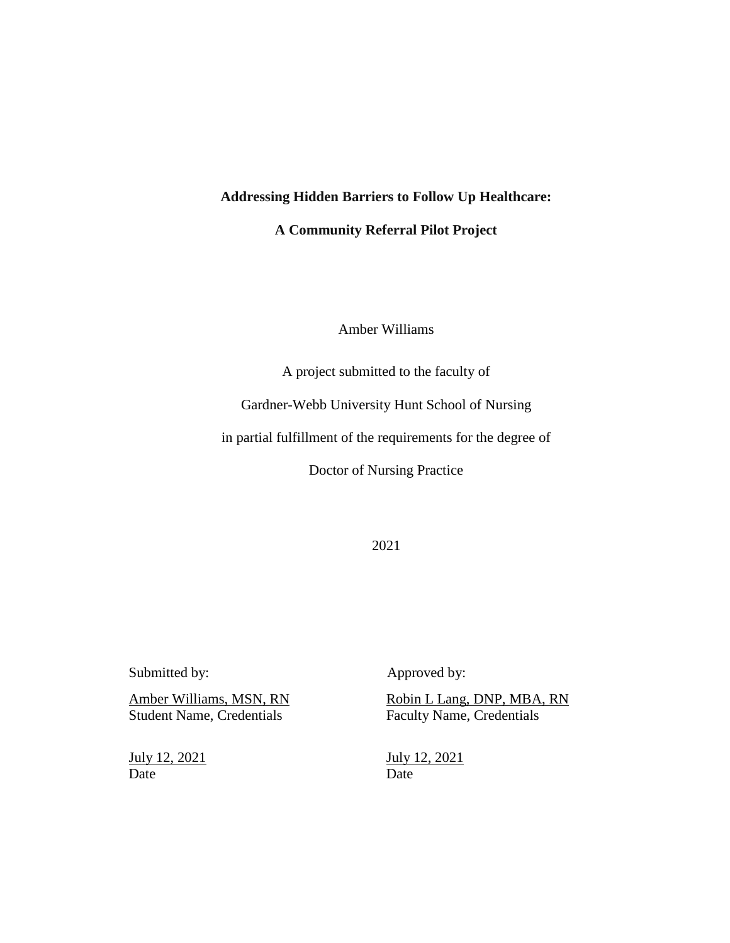**Addressing Hidden Barriers to Follow Up Healthcare:**

**A Community Referral Pilot Project**

## Amber Williams

A project submitted to the faculty of

Gardner-Webb University Hunt School of Nursing

in partial fulfillment of the requirements for the degree of

Doctor of Nursing Practice

2021

Student Name, Credentials Faculty Name, Credentials

Date Date Date

Submitted by: Approved by:

Amber Williams, MSN, RN Robin L Lang, DNP, MBA, RN

July 12, 2021 July 12, 2021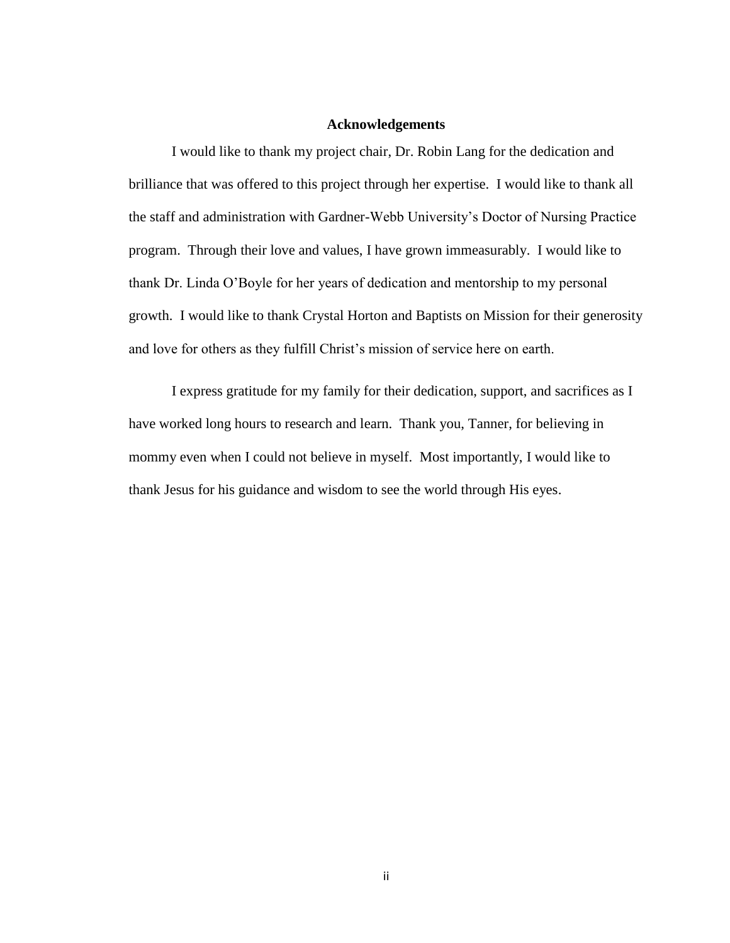#### **Acknowledgements**

I would like to thank my project chair, Dr. Robin Lang for the dedication and brilliance that was offered to this project through her expertise. I would like to thank all the staff and administration with Gardner-Webb University's Doctor of Nursing Practice program. Through their love and values, I have grown immeasurably. I would like to thank Dr. Linda O'Boyle for her years of dedication and mentorship to my personal growth. I would like to thank Crystal Horton and Baptists on Mission for their generosity and love for others as they fulfill Christ's mission of service here on earth.

I express gratitude for my family for their dedication, support, and sacrifices as I have worked long hours to research and learn. Thank you, Tanner, for believing in mommy even when I could not believe in myself. Most importantly, I would like to thank Jesus for his guidance and wisdom to see the world through His eyes.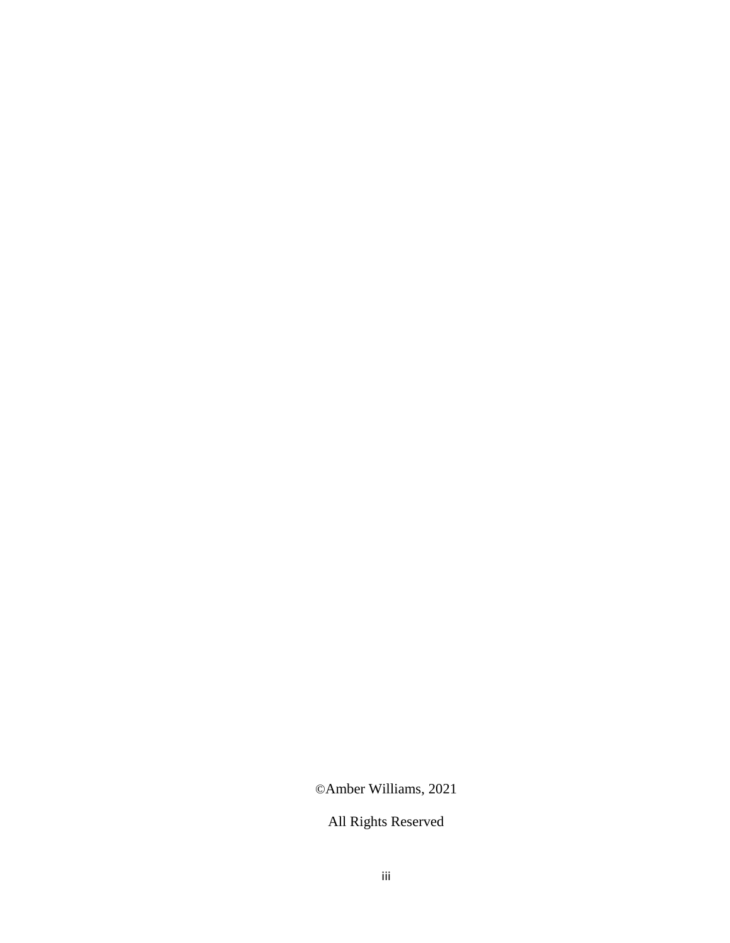©Amber Williams, 2021

All Rights Reserved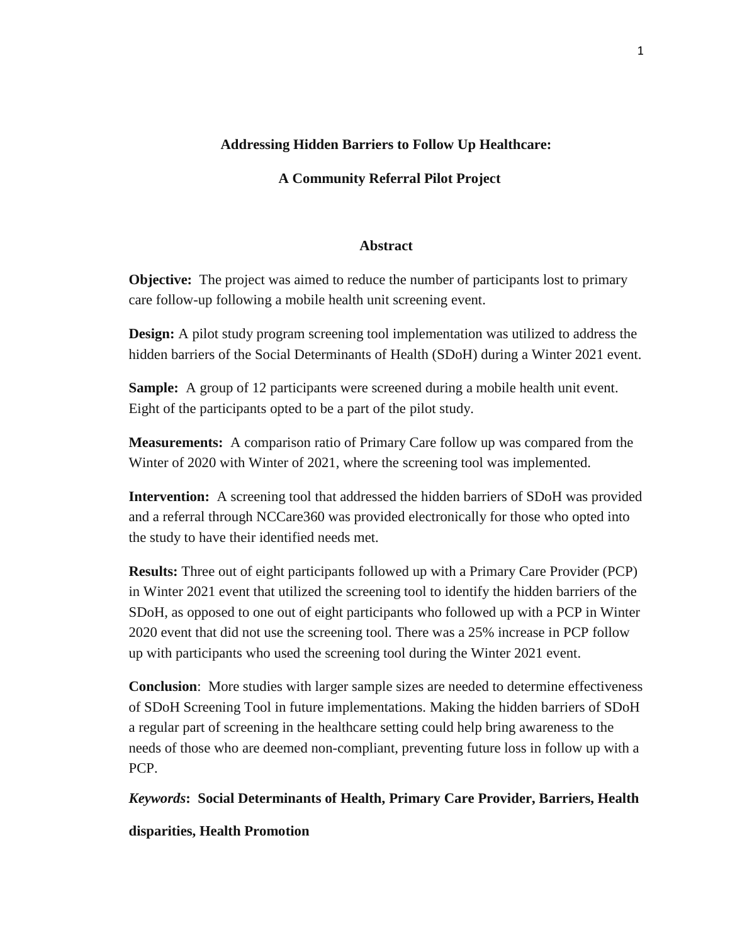## **Addressing Hidden Barriers to Follow Up Healthcare:**

## **A Community Referral Pilot Project**

#### **Abstract**

**Objective:** The project was aimed to reduce the number of participants lost to primary care follow-up following a mobile health unit screening event.

**Design:** A pilot study program screening tool implementation was utilized to address the hidden barriers of the Social Determinants of Health (SDoH) during a Winter 2021 event.

**Sample:** A group of 12 participants were screened during a mobile health unit event. Eight of the participants opted to be a part of the pilot study.

**Measurements:** A comparison ratio of Primary Care follow up was compared from the Winter of 2020 with Winter of 2021, where the screening tool was implemented.

**Intervention:** A screening tool that addressed the hidden barriers of SDoH was provided and a referral through NCCare360 was provided electronically for those who opted into the study to have their identified needs met.

**Results:** Three out of eight participants followed up with a Primary Care Provider (PCP) in Winter 2021 event that utilized the screening tool to identify the hidden barriers of the SDoH, as opposed to one out of eight participants who followed up with a PCP in Winter 2020 event that did not use the screening tool. There was a 25% increase in PCP follow up with participants who used the screening tool during the Winter 2021 event.

**Conclusion**: More studies with larger sample sizes are needed to determine effectiveness of SDoH Screening Tool in future implementations. Making the hidden barriers of SDoH a regular part of screening in the healthcare setting could help bring awareness to the needs of those who are deemed non-compliant, preventing future loss in follow up with a PCP.

*Keywords***: Social Determinants of Health, Primary Care Provider, Barriers, Health** 

#### **disparities, Health Promotion**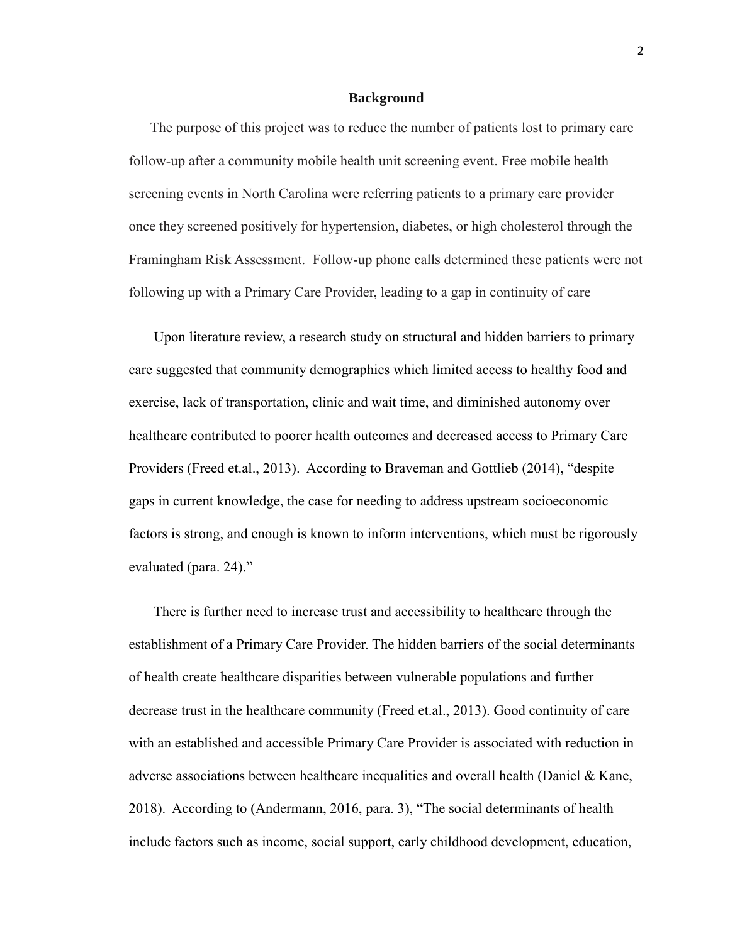#### **Background**

The purpose of this project was to reduce the number of patients lost to primary care follow-up after a community mobile health unit screening event. Free mobile health screening events in North Carolina were referring patients to a primary care provider once they screened positively for hypertension, diabetes, or high cholesterol through the Framingham Risk Assessment. Follow-up phone calls determined these patients were not following up with a Primary Care Provider, leading to a gap in continuity of care

Upon literature review, a research study on structural and hidden barriers to primary care suggested that community demographics which limited access to healthy food and exercise, lack of transportation, clinic and wait time, and diminished autonomy over healthcare contributed to poorer health outcomes and decreased access to Primary Care Providers (Freed et.al., 2013). According to Braveman and Gottlieb (2014), "despite gaps in current knowledge, the case for needing to address upstream socioeconomic factors is strong, and enough is known to inform interventions, which must be rigorously evaluated (para. 24)."

There is further need to increase trust and accessibility to healthcare through the establishment of a Primary Care Provider. The hidden barriers of the social determinants of health create healthcare disparities between vulnerable populations and further decrease trust in the healthcare community (Freed et.al., 2013). Good continuity of care with an established and accessible Primary Care Provider is associated with reduction in adverse associations between healthcare inequalities and overall health (Daniel & Kane, 2018). According to (Andermann, 2016, para. 3), "The social determinants of health include factors such as income, social support, early childhood development, education,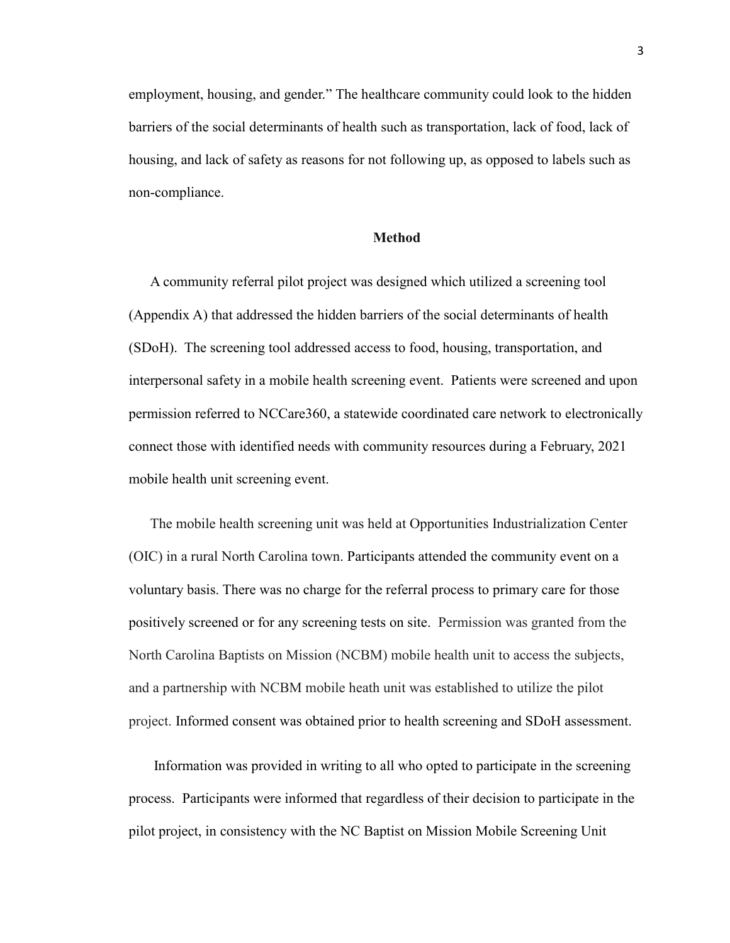employment, housing, and gender." The healthcare community could look to the hidden barriers of the social determinants of health such as transportation, lack of food, lack of housing, and lack of safety as reasons for not following up, as opposed to labels such as non-compliance.

#### **Method**

A community referral pilot project was designed which utilized a screening tool (Appendix A) that addressed the hidden barriers of the social determinants of health (SDoH). The screening tool addressed access to food, housing, transportation, and interpersonal safety in a mobile health screening event. Patients were screened and upon permission referred to NCCare360, a statewide coordinated care network to electronically connect those with identified needs with community resources during a February, 2021 mobile health unit screening event.

The mobile health screening unit was held at Opportunities Industrialization Center (OIC) in a rural North Carolina town. Participants attended the community event on a voluntary basis. There was no charge for the referral process to primary care for those positively screened or for any screening tests on site. Permission was granted from the North Carolina Baptists on Mission (NCBM) mobile health unit to access the subjects, and a partnership with NCBM mobile heath unit was established to utilize the pilot project. Informed consent was obtained prior to health screening and SDoH assessment.

Information was provided in writing to all who opted to participate in the screening process. Participants were informed that regardless of their decision to participate in the pilot project, in consistency with the NC Baptist on Mission Mobile Screening Unit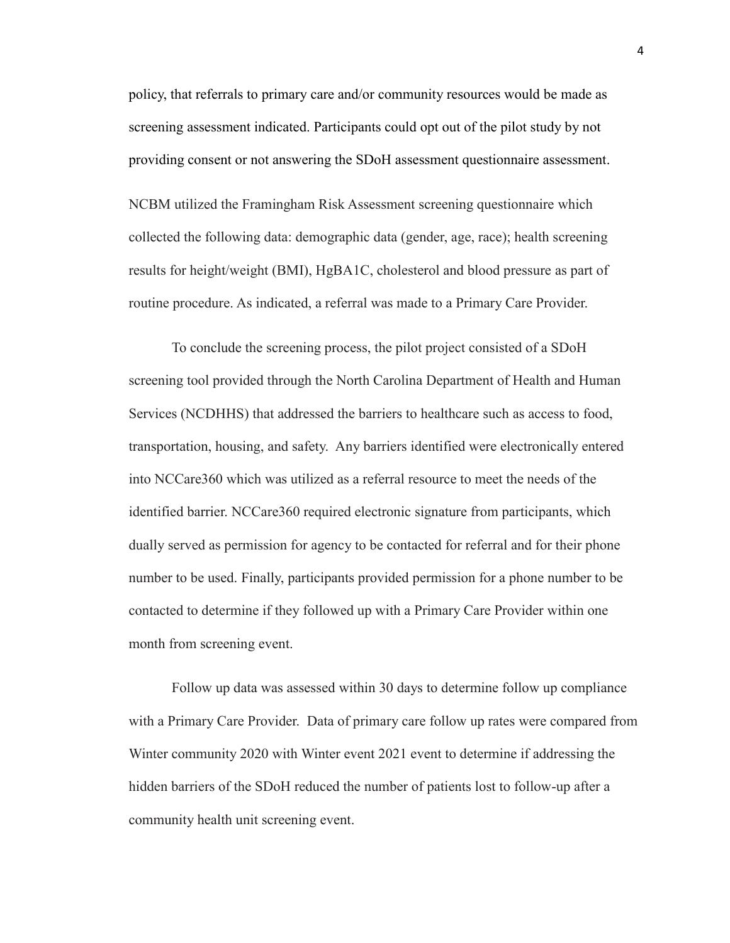policy, that referrals to primary care and/or community resources would be made as screening assessment indicated. Participants could opt out of the pilot study by not providing consent or not answering the SDoH assessment questionnaire assessment. NCBM utilized the Framingham Risk Assessment screening questionnaire which collected the following data: demographic data (gender, age, race); health screening results for height/weight (BMI), HgBA1C, cholesterol and blood pressure as part of routine procedure. As indicated, a referral was made to a Primary Care Provider.

To conclude the screening process, the pilot project consisted of a SDoH screening tool provided through the North Carolina Department of Health and Human Services (NCDHHS) that addressed the barriers to healthcare such as access to food, transportation, housing, and safety. Any barriers identified were electronically entered into NCCare360 which was utilized as a referral resource to meet the needs of the identified barrier. NCCare360 required electronic signature from participants, which dually served as permission for agency to be contacted for referral and for their phone number to be used. Finally, participants provided permission for a phone number to be contacted to determine if they followed up with a Primary Care Provider within one month from screening event.

Follow up data was assessed within 30 days to determine follow up compliance with a Primary Care Provider. Data of primary care follow up rates were compared from Winter community 2020 with Winter event 2021 event to determine if addressing the hidden barriers of the SDoH reduced the number of patients lost to follow-up after a community health unit screening event.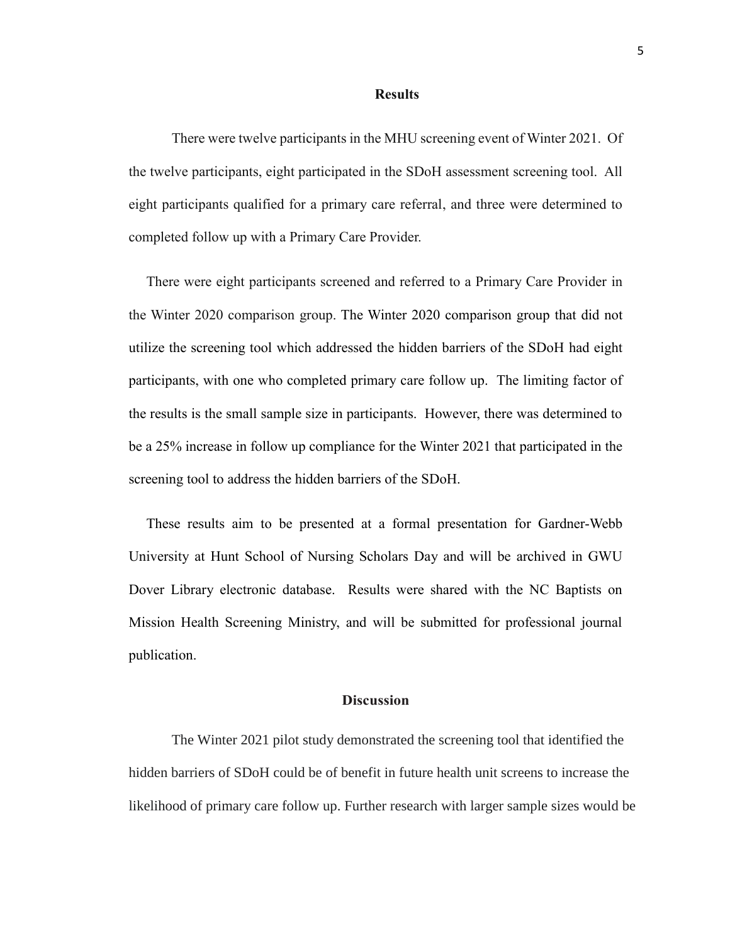#### **Results**

There were twelve participants in the MHU screening event of Winter 2021. Of the twelve participants, eight participated in the SDoH assessment screening tool. All eight participants qualified for a primary care referral, and three were determined to completed follow up with a Primary Care Provider.

 There were eight participants screened and referred to a Primary Care Provider in the Winter 2020 comparison group. The Winter 2020 comparison group that did not utilize the screening tool which addressed the hidden barriers of the SDoH had eight participants, with one who completed primary care follow up. The limiting factor of the results is the small sample size in participants. However, there was determined to be a 25% increase in follow up compliance for the Winter 2021 that participated in the screening tool to address the hidden barriers of the SDoH.

 These results aim to be presented at a formal presentation for Gardner-Webb University at Hunt School of Nursing Scholars Day and will be archived in GWU Dover Library electronic database. Results were shared with the NC Baptists on Mission Health Screening Ministry, and will be submitted for professional journal publication.

#### **Discussion**

The Winter 2021 pilot study demonstrated the screening tool that identified the hidden barriers of SDoH could be of benefit in future health unit screens to increase the likelihood of primary care follow up. Further research with larger sample sizes would be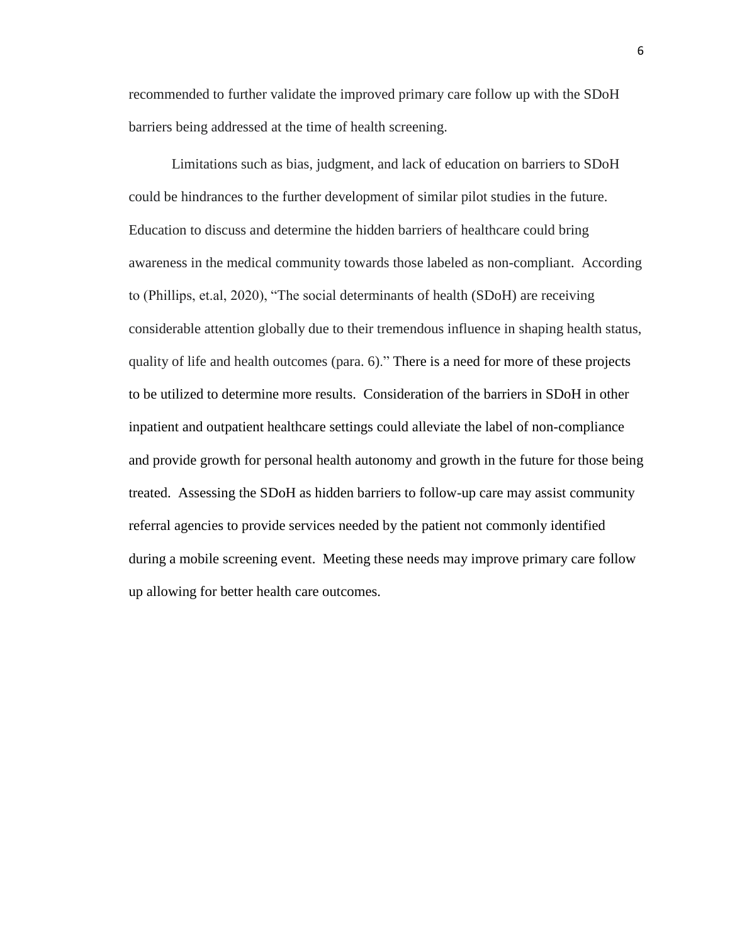recommended to further validate the improved primary care follow up with the SDoH barriers being addressed at the time of health screening.

Limitations such as bias, judgment, and lack of education on barriers to SDoH could be hindrances to the further development of similar pilot studies in the future. Education to discuss and determine the hidden barriers of healthcare could bring awareness in the medical community towards those labeled as non-compliant. According to (Phillips, et.al, 2020), "The social determinants of health (SDoH) are receiving considerable attention globally due to their tremendous influence in shaping health status, quality of life and health outcomes (para. 6)." There is a need for more of these projects to be utilized to determine more results. Consideration of the barriers in SDoH in other inpatient and outpatient healthcare settings could alleviate the label of non-compliance and provide growth for personal health autonomy and growth in the future for those being treated. Assessing the SDoH as hidden barriers to follow-up care may assist community referral agencies to provide services needed by the patient not commonly identified during a mobile screening event. Meeting these needs may improve primary care follow up allowing for better health care outcomes.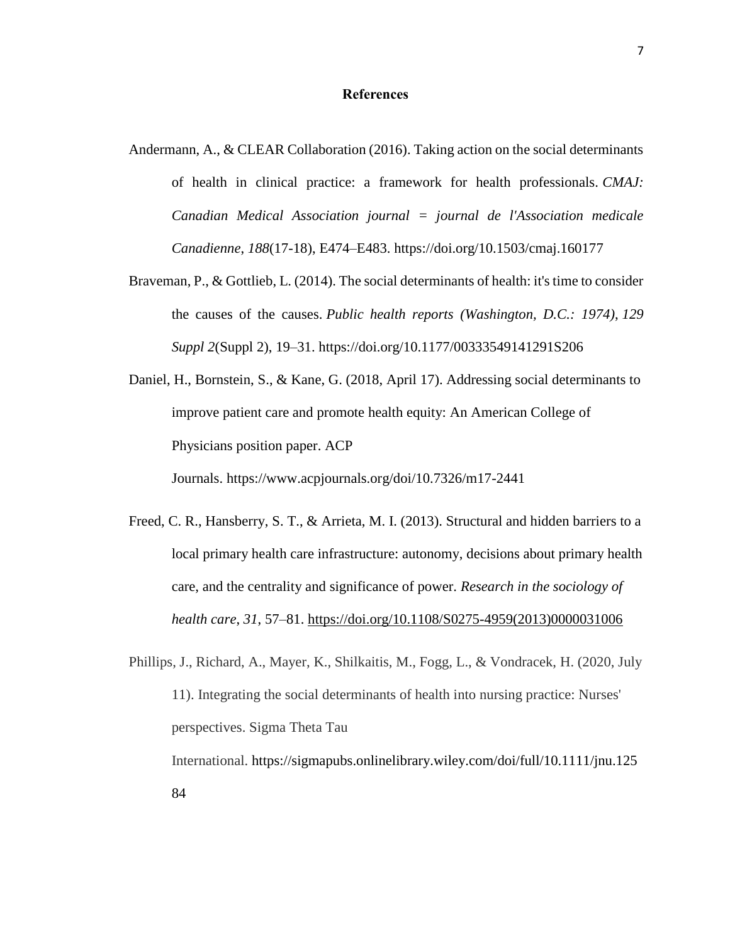#### **References**

- Andermann, A., & CLEAR Collaboration (2016). Taking action on the social determinants of health in clinical practice: a framework for health professionals. *CMAJ: Canadian Medical Association journal = journal de l'Association medicale Canadienne*, *188*(17-18), E474–E483.<https://doi.org/10.1503/cmaj.160177>
- Braveman, P., & Gottlieb, L. (2014). The social determinants of health: it's time to consider the causes of the causes. *Public health reports (Washington, D.C.: 1974)*, *129 Suppl 2*(Suppl 2), 19–31.<https://doi.org/10.1177/00333549141291S206>
- Daniel, H., Bornstein, S., & Kane, G. (2018, April 17). [Addressing social determinants to](file:///C:/Users/langr/Downloads/Daniel, H.,%20Bornstein, S.,%20&%20Kane, G.%20(2018,%20April%2017). Addressing%20social%20determinants%20to%20improve%20patient%20care%20and%20promote%20health%20equity:%20An%20American%20College%20of%20Physicians%20position%20paper.%20ACP%20Journals. https:/www.acpjournals.org/doi/10.7326/m17-2441)  [improve patient care and promote health equity: An American College of](file:///C:/Users/langr/Downloads/Daniel, H.,%20Bornstein, S.,%20&%20Kane, G.%20(2018,%20April%2017). Addressing%20social%20determinants%20to%20improve%20patient%20care%20and%20promote%20health%20equity:%20An%20American%20College%20of%20Physicians%20position%20paper.%20ACP%20Journals. https:/www.acpjournals.org/doi/10.7326/m17-2441)  [Physicians position paper. ACP](file:///C:/Users/langr/Downloads/Daniel, H.,%20Bornstein, S.,%20&%20Kane, G.%20(2018,%20April%2017). Addressing%20social%20determinants%20to%20improve%20patient%20care%20and%20promote%20health%20equity:%20An%20American%20College%20of%20Physicians%20position%20paper.%20ACP%20Journals. https:/www.acpjournals.org/doi/10.7326/m17-2441)  Journals. [https://www.acpjournals.org/doi/10.7326/m17-2441](file:///C:/Users/langr/Downloads/Daniel, H.,%20Bornstein, S.,%20&%20Kane, G.%20(2018,%20April%2017). Addressing%20social%20determinants%20to%20improve%20patient%20care%20and%20promote%20health%20equity:%20An%20American%20College%20of%20Physicians%20position%20paper.%20ACP%20Journals. https:/www.acpjournals.org/doi/10.7326/m17-2441)
- Freed, C. R., Hansberry, S. T., & Arrieta, M. I. (2013). Structural and hidden barriers to a local primary health care infrastructure: autonomy, decisions about primary health care, and the centrality and significance of power. *Research in the sociology of health care*, *31*, 57–81. [https://doi.org/10.1108/S0275-4959\(2013\)0000031006](https://doi.org/10.1108/S0275-4959(2013)0000031006)
- Phillips, J., Richard, A., Mayer, K., Shilkaitis, M., Fogg, L., & Vondracek, H. (2020, July 11). Integrating the social determinants of health into nursing practice: Nurses' perspectives. Sigma Theta Tau International. [https://sigmapubs.onlinelibrary.wiley.com/doi/full/10.1111/jnu.125](https://sigmapubs.onlinelibrary.wiley.com/doi/full/10.1111/jnu.12584) [84](https://sigmapubs.onlinelibrary.wiley.com/doi/full/10.1111/jnu.12584)